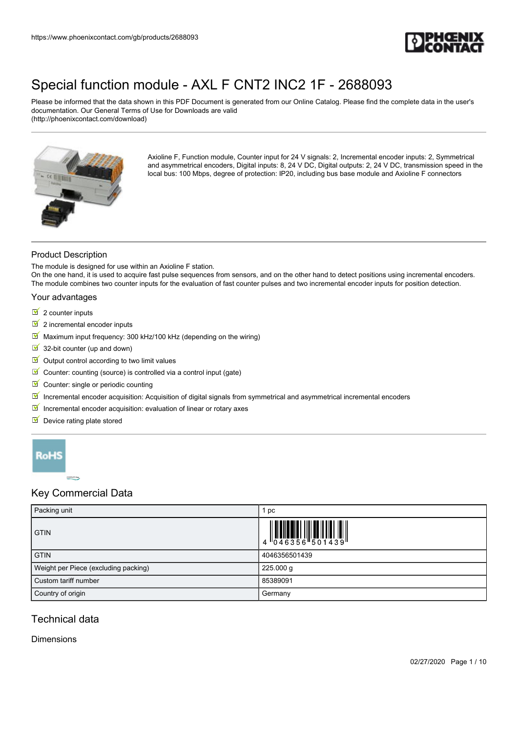

Please be informed that the data shown in this PDF Document is generated from our Online Catalog. Please find the complete data in the user's documentation. Our General Terms of Use for Downloads are valid (http://phoenixcontact.com/download)



Axioline F, Function module, Counter input for 24 V signals: 2, Incremental encoder inputs: 2, Symmetrical and asymmetrical encoders, Digital inputs: 8, 24 V DC, Digital outputs: 2, 24 V DC, transmission speed in the local bus: 100 Mbps, degree of protection: IP20, including bus base module and Axioline F connectors

### Product Description

The module is designed for use within an Axioline F station.

On the one hand, it is used to acquire fast pulse sequences from sensors, and on the other hand to detect positions using incremental encoders. The module combines two counter inputs for the evaluation of fast counter pulses and two incremental encoder inputs for position detection.

#### Your advantages

- $\overline{\mathbb{I}}$  2 counter inputs
- $\boxed{2}$  incremental encoder inputs
- $\blacksquare$  Maximum input frequency: 300 kHz/100 kHz (depending on the wiring)
- 32-bit counter (up and down)
- $\blacksquare$  Output control according to two limit values
- $\blacksquare$  Counter: counting (source) is controlled via a control input (gate)
- Counter: single or periodic counting
- $\blacksquare$  Incremental encoder acquisition: Acquisition of digital signals from symmetrical and asymmetrical incremental encoders
- $\blacksquare$  Incremental encoder acquisition: evaluation of linear or rotary axes
- $\blacksquare$  Device rating plate stored



## Key Commercial Data

| Packing unit                         | pc                                                                                                                                                                                                                                                                                                                        |
|--------------------------------------|---------------------------------------------------------------------------------------------------------------------------------------------------------------------------------------------------------------------------------------------------------------------------------------------------------------------------|
| <b>GTIN</b>                          | $\begin{array}{c} 1 & 0 & 0 & 0 \\ 0 & 4 & 6 & 3 & 5 & 6 \\ 0 & 0 & 4 & 5 & 3 & 6 \\ 0 & 0 & 0 & 0 & 0 & 0 \\ 0 & 0 & 0 & 0 & 0 & 0 \\ 0 & 0 & 0 & 0 & 0 & 0 \\ 0 & 0 & 0 & 0 & 0 & 0 \\ 0 & 0 & 0 & 0 & 0 & 0 \\ 0 & 0 & 0 & 0 & 0 & 0 & 0 \\ 0 & 0 & 0 & 0 & 0 & 0 & 0 \\ 0 & 0 & 0 & 0 & 0 & 0 & 0 \\ 0 & 0 & 0 & 0 &$ |
| <b>GTIN</b>                          | 4046356501439                                                                                                                                                                                                                                                                                                             |
| Weight per Piece (excluding packing) | 225.000 g                                                                                                                                                                                                                                                                                                                 |
| Custom tariff number                 | 85389091                                                                                                                                                                                                                                                                                                                  |
| Country of origin                    | Germany                                                                                                                                                                                                                                                                                                                   |

## Technical data

#### Dimensions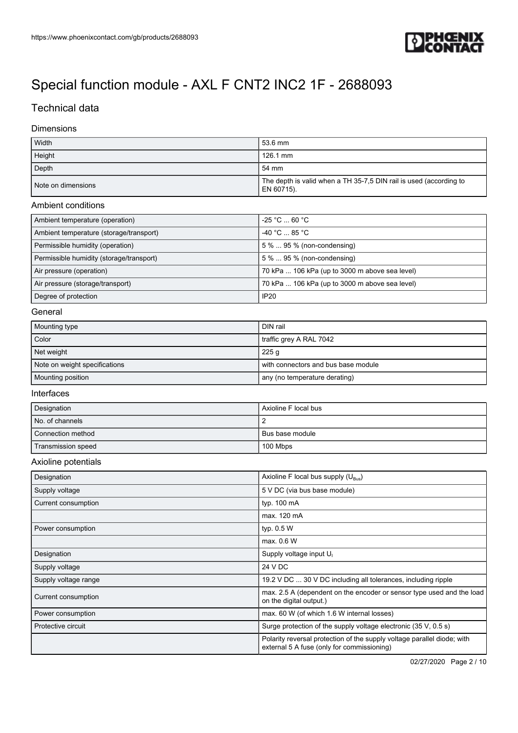

## Technical data

### Dimensions

| Width              | 53.6 mm                                                                          |
|--------------------|----------------------------------------------------------------------------------|
| Height             | 126.1 mm                                                                         |
| Depth              | 54 mm                                                                            |
| Note on dimensions | The depth is valid when a TH 35-7,5 DIN rail is used (according to<br>EN 60715). |

#### Ambient conditions

| Ambient temperature (operation)          | $-25$ °C $\ldots$ 60 °C $\,$                   |
|------------------------------------------|------------------------------------------------|
| Ambient temperature (storage/transport)  | $-40$ °C $\ldots$ 85 °C                        |
| Permissible humidity (operation)         | 5 %  95 % (non-condensing)                     |
| Permissible humidity (storage/transport) | 5 %  95 % (non-condensing)                     |
| Air pressure (operation)                 | 70 kPa  106 kPa (up to 3000 m above sea level) |
| Air pressure (storage/transport)         | 70 kPa  106 kPa (up to 3000 m above sea level) |
| Degree of protection                     | IP <sub>20</sub>                               |

#### **General**

| Mounting type                 | DIN rail                            |
|-------------------------------|-------------------------------------|
| Color                         | traffic grey A RAL 7042             |
| Net weight                    | 225 <sub>q</sub>                    |
| Note on weight specifications | with connectors and bus base module |
| Mounting position             | any (no temperature derating)       |

#### Interfaces

| Designation        | l Axioline F local bus |
|--------------------|------------------------|
| No. of channels    |                        |
| Connection method  | I Bus base module      |
| Transmission speed | 100 Mbps               |

#### Axioline potentials

| Designation          | Axioline F local bus supply (U <sub>Bus</sub> )                                                                       |
|----------------------|-----------------------------------------------------------------------------------------------------------------------|
| Supply voltage       | 5 V DC (via bus base module)                                                                                          |
| Current consumption  | typ. 100 mA                                                                                                           |
|                      | max. 120 mA                                                                                                           |
| Power consumption    | typ. 0.5 W                                                                                                            |
|                      | max. 0.6 W                                                                                                            |
| Designation          | Supply voltage input U <sub>1</sub>                                                                                   |
| Supply voltage       | 24 V DC                                                                                                               |
| Supply voltage range | 19.2 V DC  30 V DC including all tolerances, including ripple                                                         |
| Current consumption  | max. 2.5 A (dependent on the encoder or sensor type used and the load<br>on the digital output.)                      |
| Power consumption    | max. 60 W (of which 1.6 W internal losses)                                                                            |
| Protective circuit   | Surge protection of the supply voltage electronic (35 V, 0.5 s)                                                       |
|                      | Polarity reversal protection of the supply voltage parallel diode; with<br>external 5 A fuse (only for commissioning) |

02/27/2020 Page 2 / 10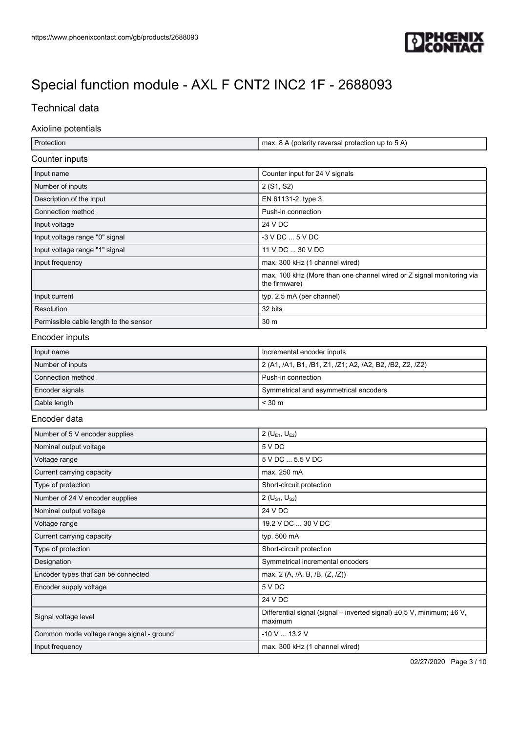

## Technical data

#### Axioline potentials

| Protection | max. 8 A (polarity reversal protection up to 5 A) |
|------------|---------------------------------------------------|

### Counter inputs

| Input name                             | Counter input for 24 V signals                                                        |
|----------------------------------------|---------------------------------------------------------------------------------------|
| Number of inputs                       | 2 (S1, S2)                                                                            |
| Description of the input               | EN 61131-2, type 3                                                                    |
| Connection method                      | Push-in connection                                                                    |
| Input voltage                          | 24 V DC                                                                               |
| Input voltage range "0" signal         | $-3$ V DC $$ 5 V DC                                                                   |
| Input voltage range "1" signal         | 11 V DC  30 V DC                                                                      |
| Input frequency                        | max. 300 kHz (1 channel wired)                                                        |
|                                        | max. 100 kHz (More than one channel wired or Z signal monitoring via<br>the firmware) |
| Input current                          | typ. 2.5 mA (per channel)                                                             |
| Resolution                             | 32 bits                                                                               |
| Permissible cable length to the sensor | 30 m                                                                                  |

#### Encoder inputs

| Input name        | Incremental encoder inputs                               |
|-------------------|----------------------------------------------------------|
| Number of inputs  | 2 (A1, /A1, B1, /B1, Z1, /Z1; A2, /A2, B2, /B2, Z2, /Z2) |
| Connection method | Push-in connection                                       |
| Encoder signals   | Symmetrical and asymmetrical encoders                    |
| Cable length      | $<$ 30 m                                                 |

#### Encoder data

| Number of 5 V encoder supplies            | 2 ( $U_{F1}$ , $U_{F2}$ )                                                        |
|-------------------------------------------|----------------------------------------------------------------------------------|
| Nominal output voltage                    | 5 V DC                                                                           |
| Voltage range                             | 5 V DC  5.5 V DC                                                                 |
| Current carrying capacity                 | max. 250 mA                                                                      |
| Type of protection                        | Short-circuit protection                                                         |
| Number of 24 V encoder supplies           | 2 ( $U_{S1}$ , $U_{S2}$ )                                                        |
| Nominal output voltage                    | 24 V DC                                                                          |
| Voltage range                             | 19.2 V DC  30 V DC                                                               |
| Current carrying capacity                 | typ. 500 mA                                                                      |
| Type of protection                        | Short-circuit protection                                                         |
| Designation                               | Symmetrical incremental encoders                                                 |
| Encoder types that can be connected       | max. 2 (A, /A, B, /B, (Z, /Z))                                                   |
| Encoder supply voltage                    | 5 V DC                                                                           |
|                                           | 24 V DC                                                                          |
| Signal voltage level                      | Differential signal (signal – inverted signal) ±0.5 V, minimum; ±6 V,<br>maximum |
| Common mode voltage range signal - ground | $-10$ V $$ 13.2 V                                                                |
| Input frequency                           | max. 300 kHz (1 channel wired)                                                   |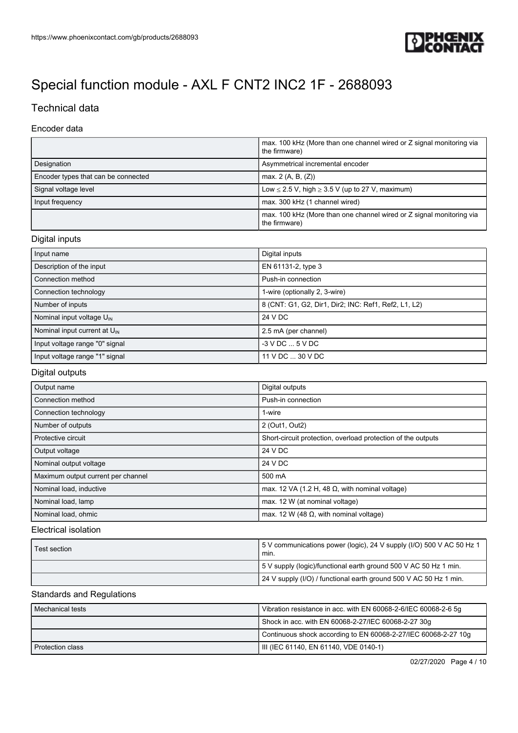

## Technical data

### Encoder data

|                                     | max. 100 kHz (More than one channel wired or Z signal monitoring via<br>the firmware) |
|-------------------------------------|---------------------------------------------------------------------------------------|
| Designation                         | Asymmetrical incremental encoder                                                      |
| Encoder types that can be connected | max. $2(A, B, (Z))$                                                                   |
| Signal voltage level                | Low $\leq$ 2.5 V, high $\geq$ 3.5 V (up to 27 V, maximum)                             |
| Input frequency                     | max. 300 kHz (1 channel wired)                                                        |
|                                     | max. 100 kHz (More than one channel wired or Z signal monitoring via<br>the firmware) |

## Digital inputs

| Input name                               | Digital inputs                                       |
|------------------------------------------|------------------------------------------------------|
| Description of the input                 | EN 61131-2, type 3                                   |
| Connection method                        | Push-in connection                                   |
| Connection technology                    | 1-wire (optionally 2, 3-wire)                        |
| Number of inputs                         | 8 (CNT: G1, G2, Dir1, Dir2; INC: Ref1, Ref2, L1, L2) |
| Nominal input voltage $U_{\text{IN}}$    | 24 V DC                                              |
| Nominal input current at $U_{\text{IN}}$ | 2.5 mA (per channel)                                 |
| Input voltage range "0" signal           | $-3$ V DC $$ 5 V DC                                  |
| Input voltage range "1" signal           | 11 V DC  30 V DC                                     |

#### Digital outputs

| Output name                        | Digital outputs                                              |
|------------------------------------|--------------------------------------------------------------|
| Connection method                  | Push-in connection                                           |
| Connection technology              | 1-wire                                                       |
| Number of outputs                  | 2 (Out1, Out2)                                               |
| Protective circuit                 | Short-circuit protection, overload protection of the outputs |
| Output voltage                     | 24 V DC                                                      |
| Nominal output voltage             | 24 V DC                                                      |
| Maximum output current per channel | 500 mA                                                       |
| Nominal load, inductive            | max. 12 VA (1.2 H, 48 $\Omega$ , with nominal voltage)       |
| Nominal load, lamp                 | max. 12 W (at nominal voltage)                               |
| Nominal load, ohmic                | max. 12 W (48 $\Omega$ , with nominal voltage)               |

### Electrical isolation

| Test section | 5V communications power (logic), 24 V supply (I/O) 500 V AC 50 Hz 1<br>min. |  |
|--------------|-----------------------------------------------------------------------------|--|
|              | 5 V supply (logic)/functional earth ground 500 V AC 50 Hz 1 min.            |  |
|              | 24 V supply (I/O) / functional earth ground 500 V AC 50 Hz 1 min.           |  |

#### Standards and Regulations

| Mechanical tests                                    | Vibration resistance in acc. with EN 60068-2-6/IEC 60068-2-6 5g |  |
|-----------------------------------------------------|-----------------------------------------------------------------|--|
| Shock in acc. with EN 60068-2-27/IEC 60068-2-27 30g |                                                                 |  |
|                                                     | Continuous shock according to EN 60068-2-27/IEC 60068-2-27 10g  |  |
| Protection class                                    | IIII (IEC 61140, EN 61140, VDE 0140-1)                          |  |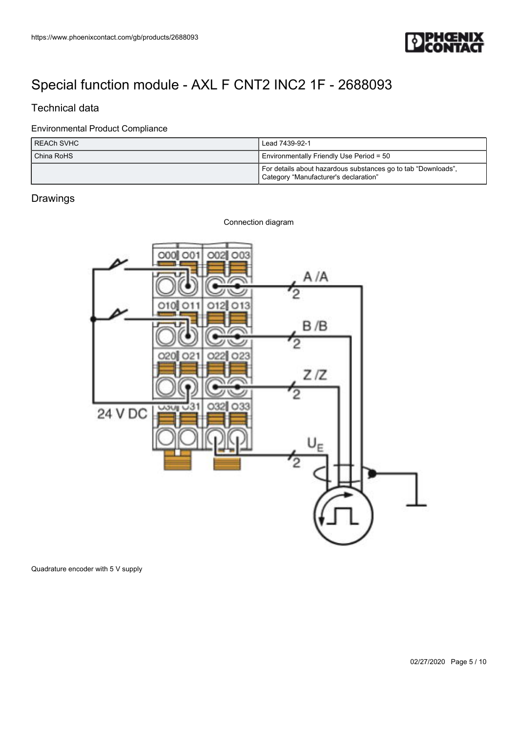

## Technical data

### Environmental Product Compliance

| I REACh SVHC   | Lead 7439-92-1                                                                                         |  |
|----------------|--------------------------------------------------------------------------------------------------------|--|
| l China RoHS l | Environmentally Friendly Use Period = 50                                                               |  |
|                | For details about hazardous substances go to tab "Downloads",<br>Category "Manufacturer's declaration" |  |

## Drawings



Quadrature encoder with 5 V supply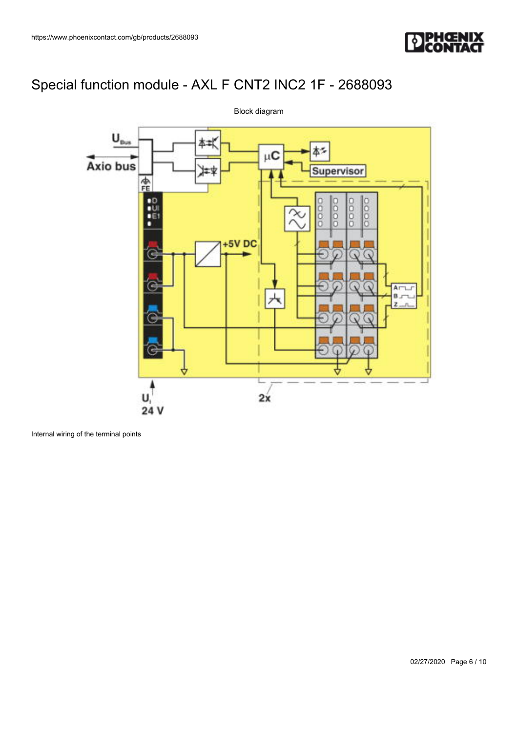



Internal wiring of the terminal points

Block diagram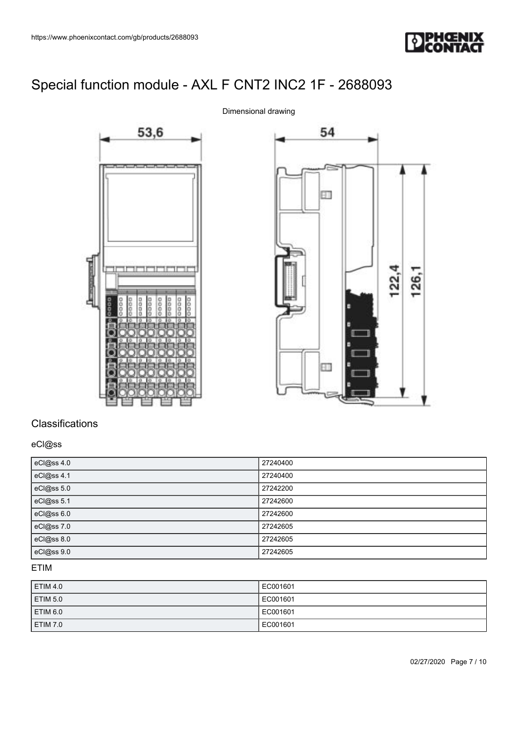





# **Classifications**

### eCl@ss

| eCl@ss 4.0 | 27240400 |
|------------|----------|
| eCl@ss 4.1 | 27240400 |
| eCl@ss 5.0 | 27242200 |
| eCl@ss 5.1 | 27242600 |
| eCl@ss 6.0 | 27242600 |
| eCl@ss 7.0 | 27242605 |
| eCl@ss 8.0 | 27242605 |
| eCl@ss 9.0 | 27242605 |

## ETIM

| <b>ETIM 4.0</b>     | EC001601 |
|---------------------|----------|
| ETIM <sub>5.0</sub> | EC001601 |
| ETIM 6.0            | EC001601 |
| ETIM 7.0            | EC001601 |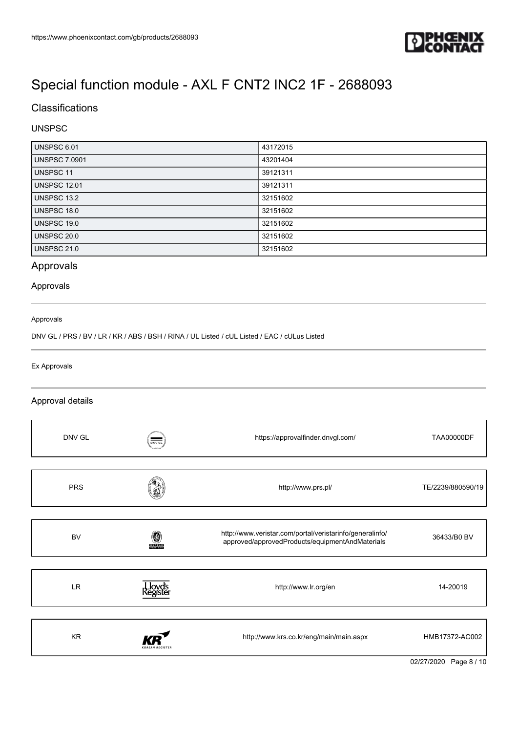

## **Classifications**

### UNSPSC

| UNSPSC 6.01          | 43172015 |
|----------------------|----------|
| <b>UNSPSC 7.0901</b> | 43201404 |
| <b>UNSPSC 11</b>     | 39121311 |
| <b>UNSPSC 12.01</b>  | 39121311 |
| <b>UNSPSC 13.2</b>   | 32151602 |
| UNSPSC 18.0          | 32151602 |
| UNSPSC 19.0          | 32151602 |
| <b>UNSPSC 20.0</b>   | 32151602 |
| <b>UNSPSC 21.0</b>   | 32151602 |

# Approvals

#### Approvals

#### Approvals

DNV GL / PRS / BV / LR / KR / ABS / BSH / RINA / UL Listed / cUL Listed / EAC / cULus Listed

#### Ex Approvals

#### Approval details

| DNV GL     | $\frac{1}{\text{Div}\cdot\text{GL}}$ | https://approvalfinder.dnvgl.com/                                                                           | <b>TAA00000DF</b> |
|------------|--------------------------------------|-------------------------------------------------------------------------------------------------------------|-------------------|
| <b>PRS</b> |                                      | http://www.prs.pl/                                                                                          | TE/2239/880590/19 |
| <b>BV</b>  | <b>BUREAU</b>                        | http://www.veristar.com/portal/veristarinfo/generalinfo/<br>approved/approvedProducts/equipmentAndMaterials | 36433/B0 BV       |
| <b>LR</b>  |                                      | http://www.lr.org/en                                                                                        | 14-20019          |
| KR         |                                      | http://www.krs.co.kr/eng/main/main.aspx                                                                     | HMB17372-AC002    |

02/27/2020 Page 8 / 10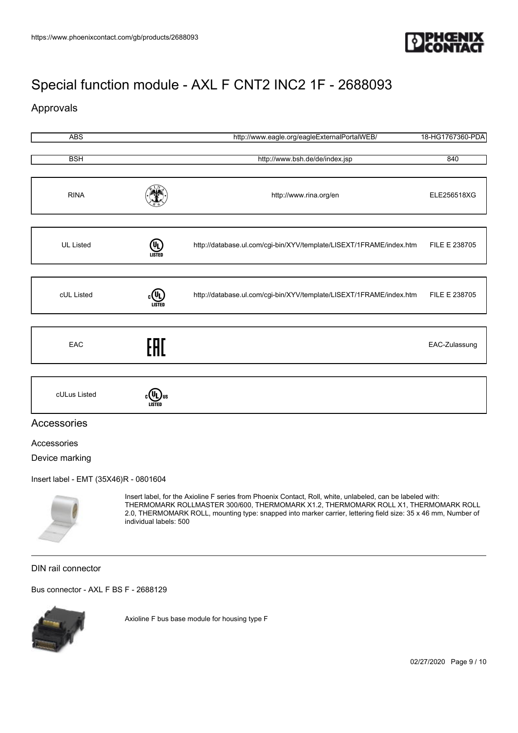

## Approvals

| <b>ABS</b>       |                                    | http://www.eagle.org/eagleExternalPortalWEB/                        | 18-HG1767360-PDA |
|------------------|------------------------------------|---------------------------------------------------------------------|------------------|
|                  |                                    |                                                                     |                  |
| <b>BSH</b>       |                                    | http://www.bsh.de/de/index.jsp                                      | 840              |
| <b>RINA</b>      |                                    | http://www.rina.org/en                                              | ELE256518XG      |
| <b>UL Listed</b> | (9)<br>LISTED                      | http://database.ul.com/cgi-bin/XYV/template/LISEXT/1FRAME/index.htm | FILE E 238705    |
|                  |                                    |                                                                     |                  |
| cUL Listed       | $_{c}$ (U <sub>L</sub> )<br>LISTED | http://database.ul.com/cgi-bin/XYV/template/LISEXT/1FRAME/index.htm | FILE E 238705    |
|                  |                                    |                                                                     |                  |
| EAC              | EAD                                |                                                                     | EAC-Zulassung    |
|                  |                                    |                                                                     |                  |
| cULus Listed     | 7 Jul                              |                                                                     |                  |



### Accessories

#### Accessories

Device marking

[Insert label - EMT \(35X46\)R - 0801604](https://www.phoenixcontact.com/gb/products/0801604)



Insert label, for the Axioline F series from Phoenix Contact, Roll, white, unlabeled, can be labeled with: THERMOMARK ROLLMASTER 300/600, THERMOMARK X1.2, THERMOMARK ROLL X1, THERMOMARK ROLL 2.0, THERMOMARK ROLL, mounting type: snapped into marker carrier, lettering field size: 35 x 46 mm, Number of individual labels: 500

### DIN rail connector

[Bus connector - AXL F BS F - 2688129](https://www.phoenixcontact.com/gb/products/2688129)



Axioline F bus base module for housing type F